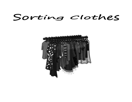## Sorting clothes

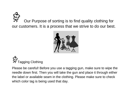Our Purpose of sorting is to find quality clothing for our customers. It is a process that we strive to do our best.





Please be careful! Before you use a tagging gun, make sure to wipe the needle down first. Then you will take the gun and place it through either the label or available seam in the clothing. Please make sure to check which color tag is being used that day.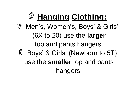## **Hanging Clothing:** Men's, Women's, Boys' & Girls' 念 (6X to 20) use the **larger**  top and pants hangers. Boys' & Girls' (Newborn to 5T) 念 use the **smaller** top and pants hangers.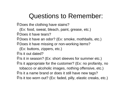## Questions to Remember:

 $$$  Does the clothing have stains?

(Ex: food, sweat, bleach, paint, grease, etc.)

 $$$  Does it have tears?

Does it have an odor? (Ex: smoke, mothballs, etc.)

**\$Does it have missing or non-working items?** 

(Ex: buttons, zippers, etc.)

 $\hat{P}$  is it out dated?

 $$$  Is it in season? (Ex: short sleeves for summer etc.)

 $\hat{\mathbb{F}}$  Is it appropriate for the customer? (Ex: no profanity, no

tobacco or alcoholic images, nothing offensive, etc.)

 $\hat{\mathcal{F}}$  is it a name brand or does it still have new tags?

 $\hat{\mathcal{F}}$  is it too worn out? (Ex: faded, pilly, elastic creaks, etc.)